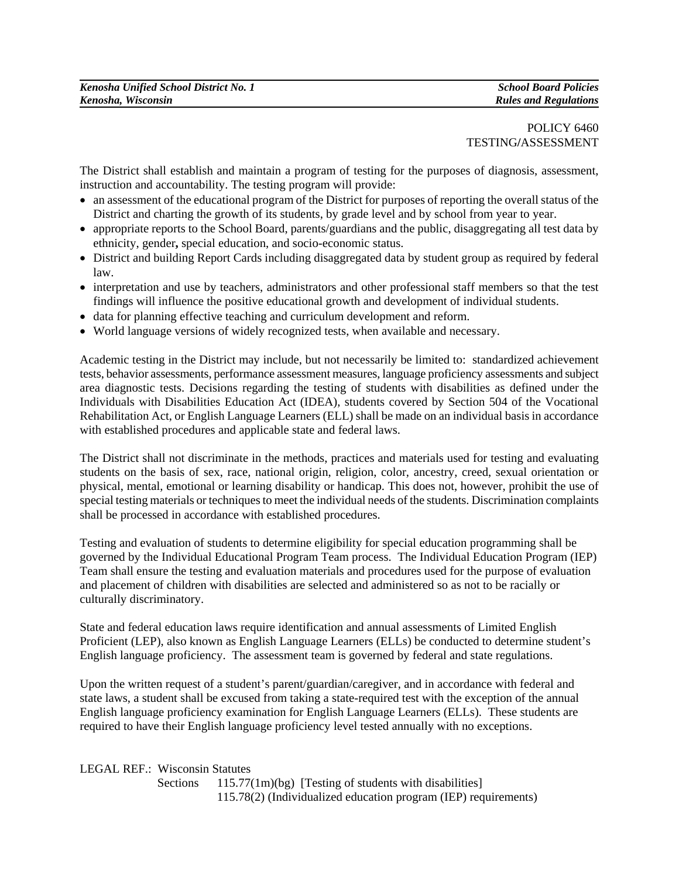## POLICY 6460 TESTING**/**ASSESSMENT

The District shall establish and maintain a program of testing for the purposes of diagnosis, assessment, instruction and accountability. The testing program will provide:

- an assessment of the educational program of the District for purposes of reporting the overall status of the District and charting the growth of its students, by grade level and by school from year to year.
- appropriate reports to the School Board, parents/guardians and the public, disaggregating all test data by ethnicity, gender**,** special education, and socio-economic status.
- District and building Report Cards including disaggregated data by student group as required by federal law.
- interpretation and use by teachers, administrators and other professional staff members so that the test findings will influence the positive educational growth and development of individual students.
- data for planning effective teaching and curriculum development and reform.
- World language versions of widely recognized tests, when available and necessary.

Academic testing in the District may include, but not necessarily be limited to: standardized achievement tests, behavior assessments, performance assessment measures, language proficiency assessments and subject area diagnostic tests. Decisions regarding the testing of students with disabilities as defined under the Individuals with Disabilities Education Act (IDEA), students covered by Section 504 of the Vocational Rehabilitation Act, or English Language Learners (ELL) shall be made on an individual basis in accordance with established procedures and applicable state and federal laws.

The District shall not discriminate in the methods, practices and materials used for testing and evaluating students on the basis of sex, race, national origin, religion, color, ancestry, creed, sexual orientation or physical, mental, emotional or learning disability or handicap. This does not, however, prohibit the use of special testing materials or techniques to meet the individual needs of the students. Discrimination complaints shall be processed in accordance with established procedures.

Testing and evaluation of students to determine eligibility for special education programming shall be governed by the Individual Educational Program Team process. The Individual Education Program (IEP) Team shall ensure the testing and evaluation materials and procedures used for the purpose of evaluation and placement of children with disabilities are selected and administered so as not to be racially or culturally discriminatory.

State and federal education laws require identification and annual assessments of Limited English Proficient (LEP), also known as English Language Learners (ELLs) be conducted to determine student's English language proficiency. The assessment team is governed by federal and state regulations.

Upon the written request of a student's parent/guardian/caregiver, and in accordance with federal and state laws, a student shall be excused from taking a state-required test with the exception of the annual English language proficiency examination for English Language Learners (ELLs). These students are required to have their English language proficiency level tested annually with no exceptions.

LEGAL REF.: Wisconsin Statutes

Sections  $115.77(1m)(bg)$  [Testing of students with disabilities] 115.78(2) (Individualized education program (IEP) requirements)